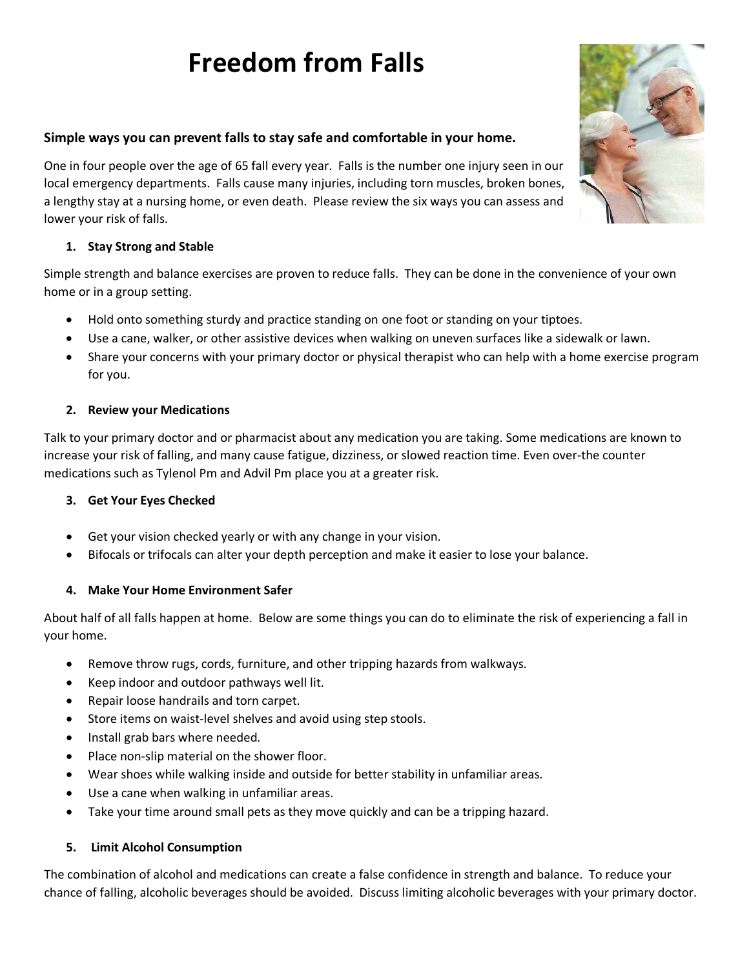# **Freedom from Falls**

# **Simple ways you can prevent falls to stay safe and comfortable in your home.**

One in four people over the age of 65 fall every year. Falls is the number one injury seen in our local emergency departments. Falls cause many injuries, including torn muscles, broken bones, a lengthy stay at a nursing home, or even death. Please review the six ways you can assess and lower your risk of falls.

# **1. Stay Strong and Stable**

Simple strength and balance exercises are proven to reduce falls. They can be done in the convenience of your own home or in a group setting.

- Hold onto something sturdy and practice standing on one foot or standing on your tiptoes.
- Use a cane, walker, or other assistive devices when walking on uneven surfaces like a sidewalk or lawn.
- Share your concerns with your primary doctor or physical therapist who can help with a home exercise program for you.

### **2. Review your Medications**

Talk to your primary doctor and or pharmacist about any medication you are taking. Some medications are known to increase your risk of falling, and many cause fatigue, dizziness, or slowed reaction time. Even over-the counter medications such as Tylenol Pm and Advil Pm place you at a greater risk.

#### **3. Get Your Eyes Checked**

- Get your vision checked yearly or with any change in your vision.
- Bifocals or trifocals can alter your depth perception and make it easier to lose your balance.

#### **4. Make Your Home Environment Safer**

About half of all falls happen at home. Below are some things you can do to eliminate the risk of experiencing a fall in your home.

- Remove throw rugs, cords, furniture, and other tripping hazards from walkways.
- Keep indoor and outdoor pathways well lit.
- Repair loose handrails and torn carpet.
- Store items on waist-level shelves and avoid using step stools.
- Install grab bars where needed.
- Place non-slip material on the shower floor.
- Wear shoes while walking inside and outside for better stability in unfamiliar areas.
- Use a cane when walking in unfamiliar areas.
- Take your time around small pets as they move quickly and can be a tripping hazard.

#### **5. Limit Alcohol Consumption**

The combination of alcohol and medications can create a false confidence in strength and balance. To reduce your chance of falling, alcoholic beverages should be avoided. Discuss limiting alcoholic beverages with your primary doctor.